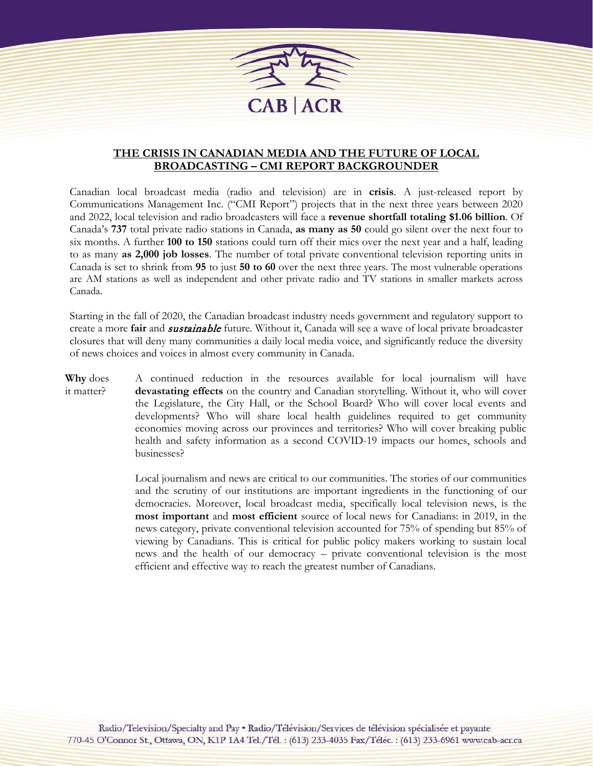

## **THE CRISIS IN CANADIAN MEDIA AND THE FUTURE OF LOCAL BROADCASTING – CMI REPORT BACKGROUNDER**

Canadian local broadcast media (radio and television) are in **crisis**. A just-released report by Communications Management Inc. ("CMI Report") projects that in the next three years between 2020 and 2022, local television and radio broadcasters will face a **revenue shortfall totaling \$1.06 billion**. Of Canada's **737** total private radio stations in Canada, **as many as 50** could go silent over the next four to six months. A further **100 to 150** stations could turn off their mics over the next year and a half, leading to as many **as 2,000 job losses**. The number of total private conventional television reporting units in Canada is set to shrink from **95** to just **50 to 60** over the next three years. The most vulnerable operations are AM stations as well as independent and other private radio and TV stations in smaller markets across Canada.

Starting in the fall of 2020, the Canadian broadcast industry needs government and regulatory support to create a more **fair** and sustainable future. Without it, Canada will see a wave of local private broadcaster closures that will deny many communities a daily local media voice, and significantly reduce the diversity of news choices and voices in almost every community in Canada.

**Why** does it matter? A continued reduction in the resources available for local journalism will have **devastating effects** on the country and Canadian storytelling. Without it, who will cover the Legislature, the City Hall, or the School Board? Who will cover local events and developments? Who will share local health guidelines required to get community economies moving across our provinces and territories? Who will cover breaking public health and safety information as a second COVID-19 impacts our homes, schools and businesses?

> Local journalism and news are critical to our communities. The stories of our communities and the scrutiny of our institutions are important ingredients in the functioning of our democracies. Moreover, local broadcast media, specifically local television news, is the **most important** and **most efficient** source of local news for Canadians: in 2019, in the news category, private conventional television accounted for 75% of spending but 85% of viewing by Canadians. This is critical for public policy makers working to sustain local news and the health of our democracy – private conventional television is the most efficient and effective way to reach the greatest number of Canadians.